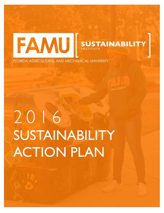

FLORIDA AGRICULTURAL AND MECHANICAL UNIVERSITY

# 2016 **SUSTAINABILITY ACTION PLAN**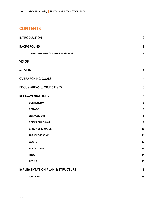## **CONTENTS**

| <b>INTRODUCTION</b>                        | $\overline{2}$          |
|--------------------------------------------|-------------------------|
| <b>BACKGROUND</b>                          | $\overline{2}$          |
| <b>CAMPUS GREENHOUSE GAS EMISSIONS</b>     | 3                       |
| <b>VISION</b>                              | $\overline{\mathbf{4}}$ |
| <b>MISSION</b>                             | $\overline{\mathbf{4}}$ |
| <b>OVERARCHING GOALS</b>                   | $\overline{\mathbf{4}}$ |
| <b>FOCUS AREAS &amp; OBJECTIVES</b>        | 5                       |
| <b>RECOMMENDATIONS</b>                     | 6                       |
| <b>CURRICULUM</b>                          | $\bf 6$                 |
| <b>RESEARCH</b>                            | $\overline{\mathbf{z}}$ |
| <b>ENGAGEMENT</b>                          | 8                       |
| <b>BETTER BUILDINGS</b>                    | 9                       |
| <b>GROUNDS &amp; WATER</b>                 | 10                      |
| <b>TRANSPORTATION</b>                      | 11                      |
| <b>WASTE</b>                               | 12                      |
| <b>PURCHASING</b>                          | 13                      |
| <b>FOOD</b>                                | 14                      |
| <b>PEOPLE</b>                              | 15                      |
| <b>IMPLEMENTATION PLAN &amp; STRUCTURE</b> | 16                      |
| <b>PARTNERS</b>                            | 16                      |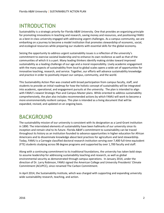# <span id="page-2-0"></span>INTRODUCTION

Sustainability is a strategic priority for Florida A&M University. One that provides an organizing principle for promoting innovations in teaching and research, saving money and resources, and positioning FAMU as a best-in-class university engaged with addressing urgent challenges. As a campus community, we are embarking on a journey to become a model institution that promotes stewardship of economic, social, and ecological resources while preparing our students with essential skills for the global economy.

Seizing the opportunity to address urgent sustainability issues is a reflection of the university's commitment to exercise societal leadership and to enhance its own resilience as well as that of the communities of which it is a part. Many leading thinkers identify making strides toward improved sustainability as a leading challenge of our age and a moral responsibility. Lively academic engagement with the many aspects of sustainability from local to global scales opens a wide set of opportunities for innovative teaching, research, and service. Together, our efforts will advance sustainability knowledge and practice in order to positively impact our campus, community, and the world.

This Sustainability Action Plan was created with broad participation from campus faculty, staff, and students to provide an initial roadmap for how the holistic concept of sustainability will be integrated into academic, operational, and engagement pursuits at the university. The plan is intended to align with FAMU's newest Strategic Plan and Campus Master plans. While oriented to address sustainability comprehensively, the plan also includes recommended actions by which FAMU will work to become a more environmentally resilient campus. This plan is intended as a living document that will be expanded, revised, and updated on an ongoing basis.

## <span id="page-2-1"></span>BACKGROUND

The sustainability mission of our university is consistent with its designation as a Land-Grant institution in 1890. The interrelated elements of sustainability have been hallmarks of our university since its inception and remain vital to its future. Florida A&M's commitment to sustainability can be traced throughout its history as an institution founded to advance opportunities in higher education for African Americans and to disseminate knowledge about best practices for agriculture and land stewardship. Today, FAMU is a Carnegie classified doctoral research institution serving over 7,400 full-time equivalent (FTE) students studying across 98 degree programs and supported by over 1,700 faculty and staff.

Along with a continuing commitment to its traditional foundations, the university has taken bold steps to assume leadership for addressing sustainability teaching and research, as well as global environmental security as demonstrated through campus operations. In January 2014, under the direction of Dr. Larry Robinson, FAMU signed the American College and University Presidents' Climate Commitment (ACUPCC), since renamed The Carbon Commitment.

In April 2014, the Sustainability Institute, which was charged with supporting and expanding university wide sustainability research, teaching, and action.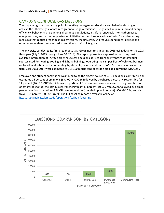## <span id="page-3-0"></span>CAMPUS GREENHOUSE GAS EMISSIONS

Tracking energy use is a starting point for making management decisions and behavioral changes to achieve the ultimate goal of net zero greenhouse gas emissions. The goal will require improved energy efficiency, behavior change among all campus populations, a shift to renewable, non-carbon based energy sources, and carbon sequestration initiatives or purchase of carbon offsets. By implementing measures that reduce greenhouse gas emissions, the university will reduce spending for utilities and other energy-related costs and advance other sustainability goals.

The university conducted its first greenhouse gas (GHG) inventory in Spring 2015 using data for the 2014 fiscal year (July 1, 2013 through June 30, 2014). The report presents an approximation using best available information of FAMU's greenhouse gas emissions derived from an inventory of fossil fuel sources used for heating, cooling and lighting buildings, operating the campus fleet of vehicles, business air travel, and estimates for commuting by students, faculty, and staff. FAMU's total emissions for the fiscal year 2013-2014 were estimated at 118,100 metric tons of carbon dioxide equivalent (MtCO2e).

Employee and student commuting was found to be the biggest source of GHG emissions, contributing an estimated 76 percent of emissions (89,400 MtCO2e), followed by purchased electricity, responsible for 14 percent (16,600 MtCO2e). A lesser proportion of GHG emissions were released through combustion of natural gas to fuel the campus central energy plant (9 percent, 10,600 MteCO2e), followed by a small percentage from operation of FAMU campus vehicles (rounded up to 1 percent), 900 MtCO2e, and air travel (0.5 percent, 600 MtCO2e). The full baseline report is available online at <http://sustainability.famu.edu/operations/carbon-footprint>

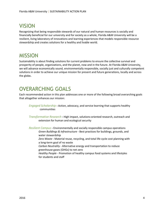# <span id="page-4-0"></span>VISION

Recognizing that being responsible stewards of our natural and human resources is socially and financially beneficial for our university and for society as a whole, Florida A&M University will be a resilient, living laboratory of innovations and learning experiences that models responsible resource stewardship and creates solutions for a healthy and livable world.

## <span id="page-4-1"></span>MISSION

Sustainability is about finding solutions for current problems to ensure the collective survival and prosperity of people, organizations, and the planet, now and in the future. At Florida A&M University, we will advance economically sound, environmentally responsible, socially just and culturally competent solutions in order to achieve our unique mission for present and future generations, locally and across the globe**.**

## <span id="page-4-2"></span>OVERARCHING GOALS

Each recommended action in this plan addresses one or more of the following broad overarching goals that altogether enhances our mission:

*Engaged Scholarship -* Action, advocacy, and service learning that supports healthy communities

*Transformative Research -* High impact, solutions-oriented research, outreach and extension for human and ecological security

*Resilient Campus -* Environmentally and socially responsible campus operations *Green Buildings & Infrastructure -* Best practices for buildings, grounds, and water stewardship *Zero Waste -* Material reuse, recycling, and total life cycle cost planning with a long-term goal of no waste *Carbon Neutrality -* Alternative energy and transportation to reduce greenhouse gases (GHGs) to net zero *Healthy People -* Promotion of healthy campus food systems and lifestyles for students and staff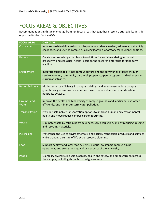# <span id="page-5-0"></span>FOCUS AREAS & OBJECTIVES

Recommendations in this plan emerge from ten focus areas that together present a strategic leadership opportunities for Florida A&M.

| <b>FOCUS AREA</b>           | <b>OBJECTIVE</b>                                                                                                                                                                               |
|-----------------------------|------------------------------------------------------------------------------------------------------------------------------------------------------------------------------------------------|
| Curriculum                  | Increase sustainability instruction to prepare students leaders, address sustainability<br>challenges, and use the campus as a living learning laboratory for resilient solutions.             |
| Research                    | Create new knowledge that leads to solutions for social well-being, economic<br>prosperity, and ecological health; position the research enterprise for long-term<br>viability.                |
| Engagement                  | Integrate sustainability into campus culture and the community at large through<br>service learning, community partnerships, peer-to-peer programs, and other extra-<br>curricular activities. |
| <b>Better Buildings</b>     | Model resource efficiency in campus buildings and energy use, reduce campus<br>greenhouse gas emissions, and move towards renewable sources and carbon<br>neutrality by 2050.                  |
| <b>Grounds and</b><br>Water | Improve the health and biodiversity of campus grounds and landscape, use water<br>efficiently, and minimize stormwater pollution.                                                              |
| Transportation              | Provide sustainable transportation options to improve human and environmental<br>health and move reduce campus carbon footprint.                                                               |
| Waste                       | Eliminate waste by refraining from unnecessary acquisition, and by reducing, reusing,<br>and recycling materials.                                                                              |
| Purchasing                  | Preference the use of environmentally and socially responsible products and services<br>while creating a culture of life-cycle resource planning.                                              |
| Food                        | Support healthy and local food systems, pursue low-impact campus dining<br>operations, and strengthen agricultural aspects of the university.                                                  |
| People                      | Exemplify diversity, inclusion, access, health and safety, and empowerment across<br>the campus, including through shared governance.                                                          |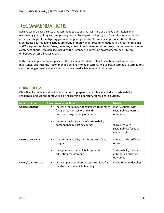## <span id="page-6-0"></span>RECOMMENDATIONS

Each Focus Area has a series of recommended actions that will help us achieve our mission and overarching goals, along with supporting metrics to help us track progress. Several recommendations include strategies for mitigating greenhouse gases generated from our campus operations. These greenhouse gas mitigating actions are found primarily under recommendations in the Better Buildings and Transportation Focus Areas; however, a host of recommended actions to promote broader campus awareness about sustainability, including the urgency of addressing environmental security, are embedded across all Focus Areas.

In the initial implementation phase of the Sustainability Action Plan, Focus Teams will set interim milestones, prioritize the recommended actions into near-term (1 to 2 years), intermediate term (2 to 5 years) or longer term action frames, and spearhead achievement of initiatives.

#### <span id="page-6-1"></span>**CURRICULUM**

Objective: Increase sustainability instruction to prepare student leaders, address sustainability challenges, and use the campus as a living learning laboratory for resilient solutions.

| <b>Initiative Area</b> | <b>Recommended Actions</b>                                                                                              | <b>Metric</b>                                               |
|------------------------|-------------------------------------------------------------------------------------------------------------------------|-------------------------------------------------------------|
| <b>Course content</b>  | Increase the number of courses with primary<br>٠<br>focus on sustainability and with<br>corresponding learning outcomes | # or % courses with<br>sustainability learning<br>outcomes  |
|                        | Increase the integration of sustainability<br>٠<br>components in existing courses.                                      | % courses with<br>sustainability focus or<br>components     |
| Degree programs        | Create sustainability minors and certificate<br>programs.                                                               | # minor and certificates<br>offered                         |
|                        | Incorporate sustainability in general<br>education requirement.                                                         | Sustainability included<br>in General Education<br>outcomes |
| Living/Learning Lab    | Use campus operations as opportunities for<br>٠<br>hands-on sustainability learning.                                    | Focus Team to develop                                       |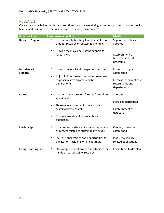#### <span id="page-7-0"></span>RESEARCH

Create new knowledge that leads to solutions for social well-being, economic prosperity, and ecological health; and position the research enterprise for long-term viability.

| <b>Initiative Area</b>                    | <b>Recommended Action</b>                                                                                     | <b>Metric</b>                                                 |
|-------------------------------------------|---------------------------------------------------------------------------------------------------------------|---------------------------------------------------------------|
| <b>Research Support</b>                   | Reduce faculty teaching load to enable more<br>П<br>time for research on sustainability topics.               | Supportive policies<br>adopted                                |
|                                           | Provide technical and staffing support for<br>٠<br>researchers.                                               | Establishment of<br>technical support<br>programs             |
| <b>Incentives &amp;</b><br><b>Finance</b> | Provide financial and recognition incentives.<br>٠<br>Adjust indirect costs to return more money<br>٠         | Incentive programs<br>established                             |
|                                           | to principal investigators and host<br>departments.                                                           | Increase in indirect cost<br>return to PIs and<br>departments |
| <b>Culture</b>                            | Create regular research forums focused on<br>٠<br>sustainability.                                             | # forums                                                      |
|                                           | Share regular communications about<br>$\blacksquare$                                                          | # articles distributed                                        |
|                                           | sustainability research.                                                                                      | Establishment of<br>database                                  |
|                                           | Promote sustainability research via<br>٠<br>databases.                                                        |                                                               |
| Leadership                                | Establish consortia and increase the number<br>$\blacksquare$<br>of centers related to sustainability issues. | Centers/consortia<br>established                              |
|                                           | Increase publications and opportunities for<br>٠<br>publication, including on-line journals.                  | # of sustainability<br>related publications                   |
| Living/Learning Lab                       | Use campus operations as opportunities for<br>$\blacksquare$<br>hands-on sustainability research.             | Focus Team to develop                                         |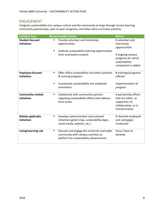#### <span id="page-8-0"></span>ENGAGEMENT

Integrate sustainability into campus culture and the community at large through service learning, community partnerships, peer-to-peer programs, and other extra-curricular activities.

| <b>Initiative Area</b>                  | <b>Recommended Action</b>                                                                                                                    | <b>Metric</b>                                                                                                                     |
|-----------------------------------------|----------------------------------------------------------------------------------------------------------------------------------------------|-----------------------------------------------------------------------------------------------------------------------------------|
| <b>Student-focused</b><br>initiatives   | Provide volunteer and internships<br>٠<br>opportunities.<br>Institute sustainability learning opportunities<br>٠<br>from orientation onward. | # volunteer and<br>internships<br>opportunities<br># ongoing campus<br>programs for which<br>sustainability<br>component is added |
| <b>Employee-focused</b><br>initiatives  | Offer office sustainability and other outreach<br>$\blacksquare$<br>& training programs<br>Incorporate sustainability into employee<br>■     | # trainings/programs<br>offered<br>Implementation of                                                                              |
|                                         | orientation.                                                                                                                                 | program                                                                                                                           |
| <b>Community-related</b><br>initiatives | Collaborate with community partners<br>٠<br>regarding sustainability efforts that address<br>local issues.                                   | # partnership efforts<br>that are either: a)<br>supportive; b)<br>collaborative; or c)<br>transformative                          |
| <b>Widely applicable</b><br>initiatives | Develop communication and outreach<br>$\blacksquare$<br>initiatives (green map, sustainability Apps,<br>social media, website, etc.).        | # channels employed<br>and campaigns<br>conducted                                                                                 |
| Living/Learning Lab                     | Educate and engage the university and wider<br>٠<br>community with campus activities as<br>platform for sustainability advancement.          | Focus Team to<br>develop                                                                                                          |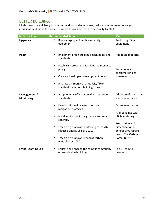### <span id="page-9-0"></span>BETTER BUILDINGS

Model resource efficiency in campus buildings and energy use, reduce campus greenhouse gas emissions, and move towards renewable sources and carbon neutrality by 2050.

| <b>Initiative Area</b>                       | <b>Recommended Action</b>                                                            | <b>Metric</b>                                                                  |
|----------------------------------------------|--------------------------------------------------------------------------------------|--------------------------------------------------------------------------------|
| <b>Upgrades</b>                              | Replace aging and inefficient utility<br>equipment.                                  | % of Energy Star<br>equipment                                                  |
| <b>Policy</b>                                | Implement green building design policy and<br>$\blacksquare$<br>standards.           | Adoption of policies                                                           |
|                                              | Establish a preventive facilities maintenance<br>$\blacksquare$<br>policy.           | Track energy<br>consumption per                                                |
|                                              | Create a low-impact development policy.                                              | square foot                                                                    |
|                                              | Institute an Energy Use Intensity (EUI)<br>п<br>standard for various building types. |                                                                                |
| <b>Management &amp;</b><br><b>Monitoring</b> | Adopt energy efficient building operations<br>$\blacksquare$<br>standards.           | Adoption of standards<br>& implementation                                      |
|                                              | Develop air quality assessment and<br>п<br>mitigation strategies.                    | Assessment report                                                              |
|                                              | Install utility monitoring meters and smart<br>٠<br>controls.                        | % of buildings with<br>utility metering                                        |
|                                              | Track progress toward interim goal of 20%<br>П<br>reduced energy use by 2020.        | Preparation and<br>dissemination of<br>annual GHG reports<br>due to The Carbon |
|                                              | Track progress toward goal of carbon<br>п<br>neutrality by 2050.                     | Commitment                                                                     |
| Living/Learning Lab                          | Educate and engage the campus community<br>п<br>on sustainable buildings.            | Focus Team to<br>develop                                                       |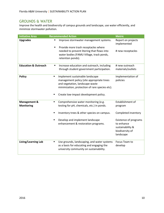#### <span id="page-10-0"></span>GROUNDS & WATER

Improve the health and biodiversity of campus grounds and landscape, use water efficiently, and minimize stormwater pollution.

| <b>Initiative Area</b>                       | <b>Recommended Action</b>                                                                                                                                                                                                    | <b>Metric</b>                                                                                  |
|----------------------------------------------|------------------------------------------------------------------------------------------------------------------------------------------------------------------------------------------------------------------------------|------------------------------------------------------------------------------------------------|
| <b>Upgrades</b>                              | Improve stormwater management systems.                                                                                                                                                                                       | Report on projects<br>implemented                                                              |
|                                              | Provide more trash receptacles where<br>needed to prevent litering that flows into<br>water bodies (FAMU Village, track ponds,<br>retention ponds).                                                                          | # new receptacles                                                                              |
| <b>Education &amp; Outreach</b>              | Increase education and outreach, including<br>٠<br>through student government participation.                                                                                                                                 | # new outreach<br>materials/outlets                                                            |
| <b>Policy</b>                                | Implement sustainable landscape<br>$\blacksquare$<br>management policy (site appropriate trees<br>and vegetation, landscape waste<br>minimization, protection of rare species etc).<br>Create low-impact development policy. | Implementation of<br>policies                                                                  |
|                                              |                                                                                                                                                                                                                              |                                                                                                |
| <b>Management &amp;</b><br><b>Monitoring</b> | Comprehensive water monitoring (e.g.<br>$\blacksquare$<br>testing for pH, chemicals, etc.) in ponds.                                                                                                                         | Establishment of<br>program                                                                    |
|                                              | Inventory trees & other species on campus.                                                                                                                                                                                   | Completed inventory                                                                            |
|                                              | Develop and implement landscape<br>enhancement & restoration programs.                                                                                                                                                       | <b>Existence of programs</b><br>to enhance<br>sustainability &<br>biodiversity of<br>landscape |
| Living/Learning Lab                          | Use grounds, landscaping, and water systems<br>Ξ<br>as a basis for educating and engaging the<br>university community on sustainability.                                                                                     | Focus Team to<br>develop                                                                       |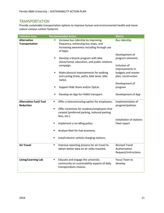#### <span id="page-11-0"></span>**TRANSPORTATION**

Provide sustainable transportation options to improve human and environmental health and move reduce campus carbon footprint.

| <b>Initiative Area</b>                            | <b>Recommended Action</b>                                                                                                                             | <b>Metric</b>                                                                               |
|---------------------------------------------------|-------------------------------------------------------------------------------------------------------------------------------------------------------|---------------------------------------------------------------------------------------------|
| <b>Alternative</b><br><b>Transportation</b>       | Increase bus ridership by improving<br>frequency, enhancing bus stops, and<br>increasing awareness including through use<br>of Apps.                  | Bus ridership                                                                               |
|                                                   | Develop a bicycle program with bike<br>٠<br>share/rental, education, and public relations<br>campaign.<br>Make physical improvements for walking<br>٠ | Development of<br>program elements<br>Inclusion of<br>improvements in<br>budgets and master |
|                                                   | and cycling (trails, paths, bike lanes, bike<br>racks).                                                                                               | plan; construction                                                                          |
|                                                   | Support Ride Share and/or ZipCar.                                                                                                                     | Development of<br>program                                                                   |
|                                                   | Develop an App for FAMU transport.                                                                                                                    | Development of App                                                                          |
| <b>Alternative Fuel/ Fuel</b><br><b>Reduction</b> | Offer a telecommuting option for employees.<br>$\blacksquare$                                                                                         | Implementation of<br>program/policies                                                       |
|                                                   | Offer incentives for students/employees that<br>$\blacksquare$<br>carpool (preferred parking, reduced parking<br>fees, etc.).                         |                                                                                             |
|                                                   | Implement a no-idling policy.                                                                                                                         | Installation of stations<br>Fleet report                                                    |
|                                                   | Analyze fleet for fuel economy.                                                                                                                       |                                                                                             |
|                                                   | Install electric vehicle charging stations.<br>٠                                                                                                      |                                                                                             |
| <b>Air Travel</b>                                 | Improve reporting process for air travel to<br>$\blacksquare$<br>obtain better data on air miles traveled.                                            | <b>Revised Travel</b><br>Authorization<br>Request/instructions                              |
| Living/Learning Lab                               | Educate and engage the university<br>٠<br>community on sustainability aspects of daily<br>transportation choices.                                     | Focus Team to<br>develop                                                                    |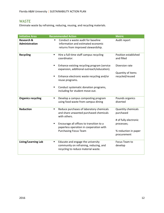## <span id="page-12-0"></span>WASTE

Eliminate waste by refraining, reducing, reusing, and recycling materials.

| <b>Initiative Area</b>                         | <b>Recommended Action</b>                                                                                                        | <b>Metric</b>                          |
|------------------------------------------------|----------------------------------------------------------------------------------------------------------------------------------|----------------------------------------|
| <b>Research &amp;</b><br><b>Administration</b> | Conduct a waste audit for baseline<br>$\blacksquare$<br>information and estimated economic<br>returns from improved stewardship. | Audit report                           |
| <b>Recycling</b>                               | Hire a full-time staff campus recycling<br>٠<br>coordinator.                                                                     | Position established<br>and filled     |
|                                                | Enhance existing recycling program (service<br>Ξ<br>expansion, additional outreach/education).                                   | Diversion rate                         |
|                                                | Enhance electronic waste recycling and/or<br>٠<br>reuse programs.                                                                | Quantity of items<br>recycled/reused   |
|                                                | Conduct systematic donation programs,<br>$\blacksquare$<br>including for student move-out.                                       |                                        |
| <b>Organics recycling</b>                      | Develop a campus composting program<br>using food waste from campus dining                                                       | Pounds organics<br>diverted            |
| <b>Reduction</b>                               | Reduce purchases of laboratory chemicals<br>٠<br>and share unwanted purchased chemicals<br>with others.                          | <b>Quantity chemicals</b><br>purchased |
|                                                | Encourage all offices to transition to a<br>٠<br>paperless operation in cooperation with                                         | # of fully electronic<br>processes;    |
|                                                | <b>Purchasing Focus Team</b>                                                                                                     | % reduction in paper<br>procurement    |
| Living/Learning Lab                            | Educate and engage the university<br>٠<br>community on refraining, reducing, and<br>recycling to reduce material waste.          | Focus Team to<br>develop               |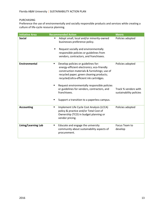#### <span id="page-13-0"></span>PURCHASING

Preference the use of environmentally and socially responsible products and services while creating a culture of life-cycle resource planning.

| <b>Initiative Area</b> | <b>Recommended Action</b>                                                                                                                                                                                                      | <b>Metric</b>                                   |
|------------------------|--------------------------------------------------------------------------------------------------------------------------------------------------------------------------------------------------------------------------------|-------------------------------------------------|
| <b>Social</b>          | Adopt small, local and/or minority-owned<br>٠<br>businesses preference policy.                                                                                                                                                 | Policies adopted                                |
|                        | Request socially and environmentally<br>responsible policies or guidelines from<br>vendors, contractors, and franchisees.                                                                                                      |                                                 |
| <b>Environmental</b>   | Develop policies or guidelines for:<br>٠<br>energy-efficient electronics; eco-friendly<br>construction materials & furnishings; use of<br>recycled paper; green cleaning products;<br>recycled/ultra-efficient ink cartridges. | Policies adopted                                |
|                        | Request environmentally responsible policies<br>$\blacksquare$<br>or guidelines for vendors, contractors, and<br>franchisees.                                                                                                  | Track % vendors with<br>sustainability policies |
|                        | Support a transition to a paperless campus.<br>п                                                                                                                                                                               |                                                 |
| <b>Accounting</b>      | Implement Life Cycle Cost Analysis (LCCA)<br>٠<br>policy & practice and/or Total Cost of<br>Ownership (TCO) in budget planning or<br>vendor pricing.                                                                           | Policies adopted                                |
| Living/Learning Lab    | Educate and engage the university<br>٠<br>community about sustainability aspects of<br>procurement.                                                                                                                            | Focus Team to<br>develop                        |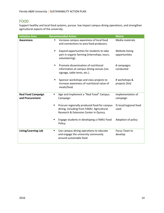#### <span id="page-14-0"></span>FOOD

Support healthy and local food systems, pursue low impact campus dining operations, and strengthen agricultural aspects of the university.

| <b>Initiative Area</b>                       | <b>Recommended Action</b>                                                                                                               | <b>Metric</b>                    |
|----------------------------------------------|-----------------------------------------------------------------------------------------------------------------------------------------|----------------------------------|
| <b>Awareness</b>                             | Increase campus awareness of local food<br>and connections to area food producers.                                                      | Media materials                  |
|                                              | Expand opportunities for students to take<br>part in organic farming (internships, tours,<br>volunteering).                             | Website listing<br>opportunities |
|                                              | Promote dissemination of nutritional<br>$\blacksquare$<br>information at campus dining venues (via<br>signage, table tents, etc.).      | # campaigns<br>conducted         |
|                                              | Sponsor workshops and class projects to<br>increase awareness of nutritional value of<br>meals/food.                                    | # workshops &<br>projects (list) |
| <b>Real Food Campaign</b><br>and Procurement | Sign and implement a "Real Food" Campus<br>٠<br>Campaign.                                                                               | Implementation of<br>campaign    |
|                                              | Procure regionally produced food for campus<br>٠<br>dining, including from FAMU. Agricultural<br>Research & Extension Center in Quincy. | % local/regional food<br>used    |
|                                              | Engage students in developing a FAMU Food<br>٠<br>Policy.                                                                               | Adoption of policy               |
| Living/Learning Lab                          | Use campus dining operations to educate<br>п<br>and engage the university community<br>around sustainable food.                         | Focus Team to<br>develop         |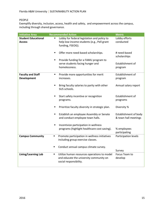#### <span id="page-15-0"></span>PEOPLE

Exemplify diversity, inclusion, access, health and safety, and empowerment across the campus, including through shared governance.

| <b>Initiative Area</b>                         | <b>Recommended Action</b>                                                                                             | <b>Metric</b>                                 |
|------------------------------------------------|-----------------------------------------------------------------------------------------------------------------------|-----------------------------------------------|
| <b>Student Educational</b><br><b>Access</b>    | Lobby for federal legislation and policy to<br>п<br>help low-income students (e.g., Pell grant<br>funding, FSEOG).    | Lobby efforts<br>conducted                    |
|                                                | Offer more need-based scholarships.                                                                                   | # need-based<br>scholarships                  |
|                                                | Provide funding for a FAMU program to<br>$\blacksquare$<br>serve students facing hunger and<br>homelessness.          | Establishment of<br>program                   |
| <b>Faculty and Staff</b><br><b>Development</b> | Provide more opportunities for merit<br>٠<br>increases.                                                               | Establishment of<br>program                   |
|                                                | Bring faculty salaries to parity with other<br>٠<br>SUS schools.                                                      | Annual salary report                          |
|                                                | Start safety incentive or recognition<br>programs.                                                                    | Establishment of<br>programs                  |
|                                                | Prioritize faculty diversity in strategic plan.                                                                       | Diversity %                                   |
|                                                | Establish an employee Assembly or Senate<br>٠<br>and conduct employee town halls.                                     | Establishment of body<br>& town hall meetings |
|                                                | Incentivize participation in wellness<br>٠<br>programs (highlight healthcare cost saving).                            | % employees<br>participating                  |
| <b>Campus Community</b>                        | Promote participation in wellness initiatives<br>٠<br>including group exercise classes.                               | Participation levels                          |
|                                                | Conduct annual campus climate survey.<br>٠                                                                            | Survey                                        |
| Living/Learning Lab                            | Utilize human resources operations to model<br>٠<br>and educate the university community on<br>social responsibility. | Focus Team to<br>develop                      |